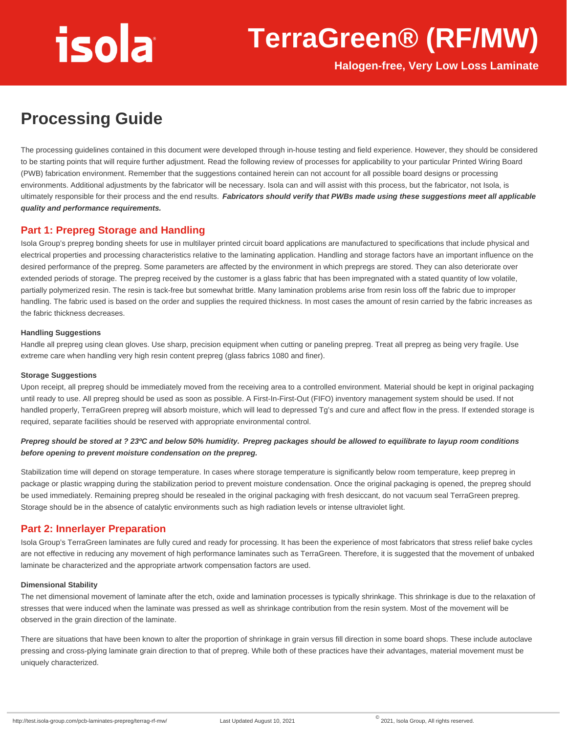### **TerraGreen® (RF/MW)**

**Halogen-free, Very Low Loss Laminate**

### **Processing Guide**

The processing guidelines contained in this document were developed through in-house testing and field experience. However, they should be considered to be starting points that will require further adjustment. Read the following review of processes for applicability to your particular Printed Wiring Board (PWB) fabrication environment. Remember that the suggestions contained herein can not account for all possible board designs or processing environments. Additional adjustments by the fabricator will be necessary. Isola can and will assist with this process, but the fabricator, not Isola, is ultimately responsible for their process and the end results. **Fabricators should verify that PWBs made using these suggestions meet all applicable quality and performance requirements.**

#### **Part 1: Prepreg Storage and Handling**

Isola Group's prepreg bonding sheets for use in multilayer printed circuit board applications are manufactured to specifications that include physical and electrical properties and processing characteristics relative to the laminating application. Handling and storage factors have an important influence on the desired performance of the prepreg. Some parameters are affected by the environment in which prepregs are stored. They can also deteriorate over extended periods of storage. The prepreg received by the customer is a glass fabric that has been impregnated with a stated quantity of low volatile, partially polymerized resin. The resin is tack-free but somewhat brittle. Many lamination problems arise from resin loss off the fabric due to improper handling. The fabric used is based on the order and supplies the required thickness. In most cases the amount of resin carried by the fabric increases as the fabric thickness decreases.

#### **Handling Suggestions**

Handle all prepreg using clean gloves. Use sharp, precision equipment when cutting or paneling prepreg. Treat all prepreg as being very fragile. Use extreme care when handling very high resin content prepreg (glass fabrics 1080 and finer).

#### **Storage Suggestions**

Upon receipt, all prepreg should be immediately moved from the receiving area to a controlled environment. Material should be kept in original packaging until ready to use. All prepreg should be used as soon as possible. A First-In-First-Out (FIFO) inventory management system should be used. If not handled properly, TerraGreen prepreg will absorb moisture, which will lead to depressed Tg's and cure and affect flow in the press. If extended storage is required, separate facilities should be reserved with appropriate environmental control.

#### **Prepreg should be stored at ? 23ºC and below 50% humidity. Prepreg packages should be allowed to equilibrate to layup room conditions before opening to prevent moisture condensation on the prepreg.**

Stabilization time will depend on storage temperature. In cases where storage temperature is significantly below room temperature, keep prepreg in package or plastic wrapping during the stabilization period to prevent moisture condensation. Once the original packaging is opened, the prepreg should be used immediately. Remaining prepreg should be resealed in the original packaging with fresh desiccant, do not vacuum seal TerraGreen prepreg. Storage should be in the absence of catalytic environments such as high radiation levels or intense ultraviolet light.

#### **Part 2: Innerlayer Preparation**

Isola Group's TerraGreen laminates are fully cured and ready for processing. It has been the experience of most fabricators that stress relief bake cycles are not effective in reducing any movement of high performance laminates such as TerraGreen. Therefore, it is suggested that the movement of unbaked laminate be characterized and the appropriate artwork compensation factors are used.

#### **Dimensional Stability**

The net dimensional movement of laminate after the etch, oxide and lamination processes is typically shrinkage. This shrinkage is due to the relaxation of stresses that were induced when the laminate was pressed as well as shrinkage contribution from the resin system. Most of the movement will be observed in the grain direction of the laminate.

There are situations that have been known to alter the proportion of shrinkage in grain versus fill direction in some board shops. These include autoclave pressing and cross-plying laminate grain direction to that of prepreg. While both of these practices have their advantages, material movement must be uniquely characterized.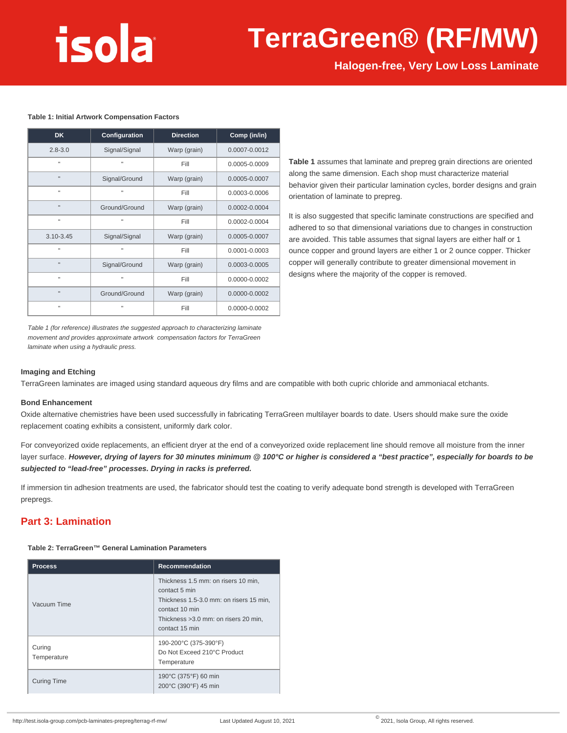### **TerraGreen® (RF/MW)**

**Halogen-free, Very Low Loss Laminate**

#### **Table 1: Initial Artwork Compensation Factors**

| <b>DK</b>     | Configuration | <b>Direction</b> | Comp (in/in)  |
|---------------|---------------|------------------|---------------|
| $2.8 - 3.0$   | Signal/Signal | Warp (grain)     | 0.0007-0.0012 |
| $\mathbf{H}$  | Ħ             | Fill             | 0.0005-0.0009 |
| $\mathbf{H}$  | Signal/Ground | Warp (grain)     | 0.0005-0.0007 |
| $\mathbf{H}$  | n             | Fill             | 0.0003-0.0006 |
| $\mathbf{u}$  | Ground/Ground | Warp (grain)     | 0.0002-0.0004 |
| $\mathbf{u}$  | n             | Fill             | 0.0002-0.0004 |
| $3.10 - 3.45$ | Signal/Signal | Warp (grain)     | 0.0005-0.0007 |
| $\mathbf{H}$  | Ħ             | Fill             | 0.0001-0.0003 |
| $\mathbf{u}$  | Signal/Ground | Warp (grain)     | 0.0003-0.0005 |
| $\mathbf{H}$  | Ħ             | Fill             | 0.0000-0.0002 |
| $\mathbf{u}$  | Ground/Ground | Warp (grain)     | 0.0000-0.0002 |
| л             | Ħ             | Fill             | 0.0000-0.0002 |

**Table 1** assumes that laminate and prepreg grain directions are oriented along the same dimension. Each shop must characterize material behavior given their particular lamination cycles, border designs and grain orientation of laminate to prepreg.

It is also suggested that specific laminate constructions are specified and adhered to so that dimensional variations due to changes in construction are avoided. This table assumes that signal layers are either half or 1 ounce copper and ground layers are either 1 or 2 ounce copper. Thicker copper will generally contribute to greater dimensional movement in designs where the majority of the copper is removed.

Table 1 (for reference) illustrates the suggested approach to characterizing laminate movement and provides approximate artwork compensation factors for TerraGreen laminate when using a hydraulic press.

#### **Imaging and Etching**

TerraGreen laminates are imaged using standard aqueous dry films and are compatible with both cupric chloride and ammoniacal etchants.

#### **Bond Enhancement**

Oxide alternative chemistries have been used successfully in fabricating TerraGreen multilayer boards to date. Users should make sure the oxide replacement coating exhibits a consistent, uniformly dark color.

For conveyorized oxide replacements, an efficient dryer at the end of a conveyorized oxide replacement line should remove all moisture from the inner layer surface. **However, drying of layers for 30 minutes minimum @ 100°C or higher is considered a "best practice", especially for boards to be subjected to "lead-free" processes. Drying in racks is preferred.**

If immersion tin adhesion treatments are used, the fabricator should test the coating to verify adequate bond strength is developed with TerraGreen prepregs.

#### **Part 3: Lamination**

#### **Table 2: TerraGreen™ General Lamination Parameters**

| <b>Process</b>        | <b>Recommendation</b>                                                                                                                                                        |  |  |  |
|-----------------------|------------------------------------------------------------------------------------------------------------------------------------------------------------------------------|--|--|--|
| Vacuum Time           | Thickness 1.5 mm: on risers 10 min,<br>contact 5 min<br>Thickness 1.5-3.0 mm: on risers 15 min,<br>contact 10 min<br>Thickness > 3.0 mm; on risers 20 min.<br>contact 15 min |  |  |  |
| Curing<br>Temperature | 190-200°C (375-390°F)<br>Do Not Exceed 210°C Product<br>Temperature                                                                                                          |  |  |  |
| <b>Curing Time</b>    | 190°C (375°F) 60 min<br>200°C (390°F) 45 min                                                                                                                                 |  |  |  |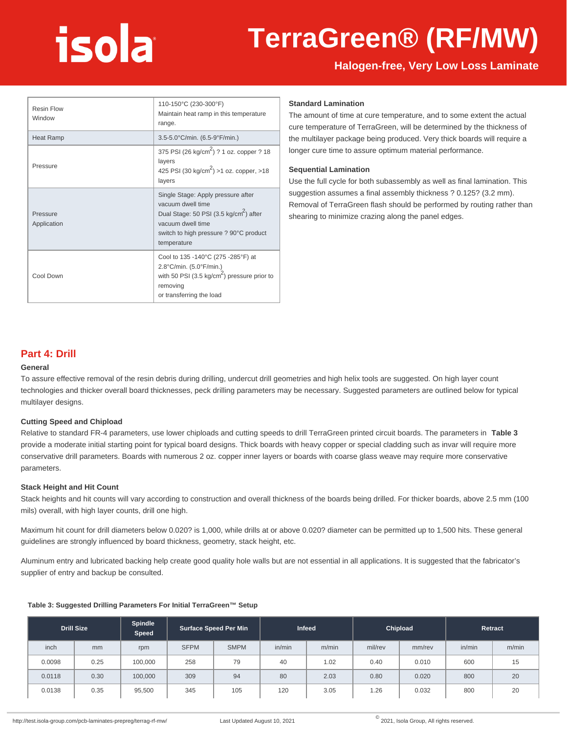## **TerraGreen® (RF/MW)**

#### **Halogen-free, Very Low Loss Laminate**

| <b>Resin Flow</b><br>Window | 110-150°C (230-300°F)<br>Maintain heat ramp in this temperature<br>range.                                                                                                                   |  |  |  |
|-----------------------------|---------------------------------------------------------------------------------------------------------------------------------------------------------------------------------------------|--|--|--|
| <b>Heat Ramp</b>            | 3.5-5.0°C/min. (6.5-9°F/min.)                                                                                                                                                               |  |  |  |
| Pressure                    | 375 PSI (26 kg/cm <sup>2</sup> ) ? 1 oz. copper ? 18<br>layers<br>425 PSI (30 kg/cm <sup>2</sup> ) > 1 oz. copper, > 18<br>layers                                                           |  |  |  |
| Pressure<br>Application     | Single Stage: Apply pressure after<br>vacuum dwell time<br>Dual Stage: 50 PSI (3.5 kg/cm <sup>2</sup> ) after<br>vacuum dwell time<br>switch to high pressure ? 90°C product<br>temperature |  |  |  |
| Cool Down                   | Cool to 135 -140°C (275 -285°F) at<br>2.8°C/min. (5.0°F/min.)<br>with 50 PSI (3.5 kg/cm <sup>2</sup> ) pressure prior to<br>removing<br>or transferring the load                            |  |  |  |

#### **Standard Lamination**

The amount of time at cure temperature, and to some extent the actual cure temperature of TerraGreen, will be determined by the thickness of the multilayer package being produced. Very thick boards will require a longer cure time to assure optimum material performance.

#### **Sequential Lamination**

Use the full cycle for both subassembly as well as final lamination. This suggestion assumes a final assembly thickness ? 0.125? (3.2 mm). Removal of TerraGreen flash should be performed by routing rather than shearing to minimize crazing along the panel edges.

#### **Part 4: Drill**

#### **General**

To assure effective removal of the resin debris during drilling, undercut drill geometries and high helix tools are suggested. On high layer count technologies and thicker overall board thicknesses, peck drilling parameters may be necessary. Suggested parameters are outlined below for typical multilayer designs.

#### **Cutting Speed and Chipload**

Relative to standard FR-4 parameters, use lower chiploads and cutting speeds to drill TerraGreen printed circuit boards. The parameters in **Table 3** provide a moderate initial starting point for typical board designs. Thick boards with heavy copper or special cladding such as invar will require more conservative drill parameters. Boards with numerous 2 oz. copper inner layers or boards with coarse glass weave may require more conservative parameters.

#### **Stack Height and Hit Count**

Stack heights and hit counts will vary according to construction and overall thickness of the boards being drilled. For thicker boards, above 2.5 mm (100 mils) overall, with high layer counts, drill one high.

Maximum hit count for drill diameters below 0.020? is 1,000, while drills at or above 0.020? diameter can be permitted up to 1,500 hits. These general guidelines are strongly influenced by board thickness, geometry, stack height, etc.

Aluminum entry and lubricated backing help create good quality hole walls but are not essential in all applications. It is suggested that the fabricator's supplier of entry and backup be consulted.

|        | <b>Drill Size</b> | <b>Spindle</b><br><b>Speed</b> |             | Surface Speed Per Min |        | Infeed |         | Chipload |        | Retract |
|--------|-------------------|--------------------------------|-------------|-----------------------|--------|--------|---------|----------|--------|---------|
| inch   | mm                | rpm                            | <b>SFPM</b> | <b>SMPM</b>           | in/min | m/min  | mil/rev | mm/rev   | in/min | m/min   |
| 0.0098 | 0.25              | 100,000                        | 258         | 79                    | 40     | 1.02   | 0.40    | 0.010    | 600    | 15      |
| 0.0118 | 0.30              | 100,000                        | 309         | 94                    | 80     | 2.03   | 0.80    | 0.020    | 800    | 20      |
| 0.0138 | 0.35              | 95,500                         | 345         | 105                   | 120    | 3.05   | 1.26    | 0.032    | 800    | 20      |

#### **Table 3: Suggested Drilling Parameters For Initial TerraGreen™ Setup**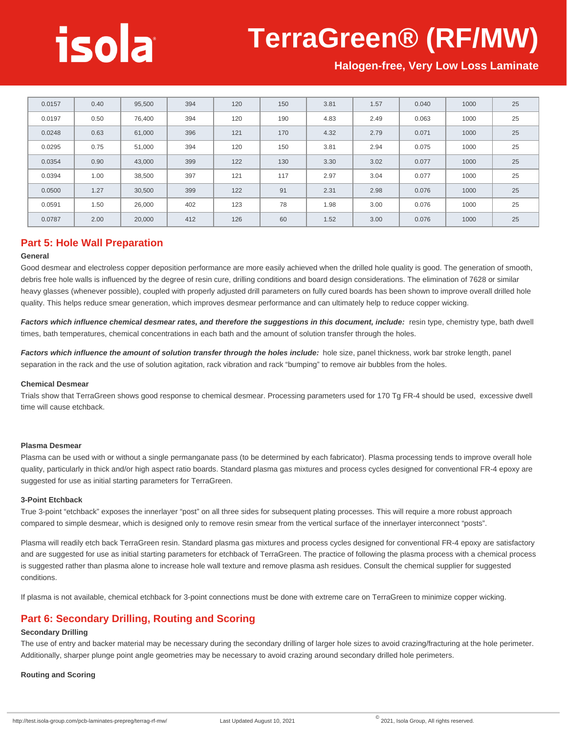### **TerraGreen® (RF/MW)**

**Halogen-free, Very Low Loss Laminate**

| 0.0157 | 0.40 | 95,500 | 394 | 120 | 150 | 3.81 | 1.57 | 0.040 | 1000 | 25 |
|--------|------|--------|-----|-----|-----|------|------|-------|------|----|
| 0.0197 | 0.50 | 76,400 | 394 | 120 | 190 | 4.83 | 2.49 | 0.063 | 1000 | 25 |
| 0.0248 | 0.63 | 61,000 | 396 | 121 | 170 | 4.32 | 2.79 | 0.071 | 1000 | 25 |
| 0.0295 | 0.75 | 51,000 | 394 | 120 | 150 | 3.81 | 2.94 | 0.075 | 1000 | 25 |
| 0.0354 | 0.90 | 43,000 | 399 | 122 | 130 | 3.30 | 3.02 | 0.077 | 1000 | 25 |
| 0.0394 | 1.00 | 38,500 | 397 | 121 | 117 | 2.97 | 3.04 | 0.077 | 1000 | 25 |
| 0.0500 | 1.27 | 30,500 | 399 | 122 | 91  | 2.31 | 2.98 | 0.076 | 1000 | 25 |
| 0.0591 | 1.50 | 26,000 | 402 | 123 | 78  | 1.98 | 3.00 | 0.076 | 1000 | 25 |
| 0.0787 | 2.00 | 20,000 | 412 | 126 | 60  | 1.52 | 3.00 | 0.076 | 1000 | 25 |

#### **Part 5: Hole Wall Preparation**

#### **General**

Good desmear and electroless copper deposition performance are more easily achieved when the drilled hole quality is good. The generation of smooth, debris free hole walls is influenced by the degree of resin cure, drilling conditions and board design considerations. The elimination of 7628 or similar heavy glasses (whenever possible), coupled with properly adjusted drill parameters on fully cured boards has been shown to improve overall drilled hole quality. This helps reduce smear generation, which improves desmear performance and can ultimately help to reduce copper wicking.

Factors which influence chemical desmear rates, and therefore the suggestions in this document, include: resin type, chemistry type, bath dwell times, bath temperatures, chemical concentrations in each bath and the amount of solution transfer through the holes.

**Factors which influence the amount of solution transfer through the holes include:** hole size, panel thickness, work bar stroke length, panel separation in the rack and the use of solution agitation, rack vibration and rack "bumping" to remove air bubbles from the holes.

#### **Chemical Desmear**

Trials show that TerraGreen shows good response to chemical desmear. Processing parameters used for 170 Tg FR-4 should be used, excessive dwell time will cause etchback.

#### **Plasma Desmear**

Plasma can be used with or without a single permanganate pass (to be determined by each fabricator). Plasma processing tends to improve overall hole quality, particularly in thick and/or high aspect ratio boards. Standard plasma gas mixtures and process cycles designed for conventional FR-4 epoxy are suggested for use as initial starting parameters for TerraGreen.

#### **3-Point Etchback**

True 3-point "etchback" exposes the innerlayer "post" on all three sides for subsequent plating processes. This will require a more robust approach compared to simple desmear, which is designed only to remove resin smear from the vertical surface of the innerlayer interconnect "posts".

Plasma will readily etch back TerraGreen resin. Standard plasma gas mixtures and process cycles designed for conventional FR-4 epoxy are satisfactory and are suggested for use as initial starting parameters for etchback of TerraGreen. The practice of following the plasma process with a chemical process is suggested rather than plasma alone to increase hole wall texture and remove plasma ash residues. Consult the chemical supplier for suggested conditions.

If plasma is not available, chemical etchback for 3-point connections must be done with extreme care on TerraGreen to minimize copper wicking.

#### **Part 6: Secondary Drilling, Routing and Scoring**

#### **Secondary Drilling**

The use of entry and backer material may be necessary during the secondary drilling of larger hole sizes to avoid crazing/fracturing at the hole perimeter. Additionally, sharper plunge point angle geometries may be necessary to avoid crazing around secondary drilled hole perimeters.

#### **Routing and Scoring**

http://test.isola-group.com/pcb-laminates-prepreg/terrag-rf-mw/ Last Updated August 10, 2021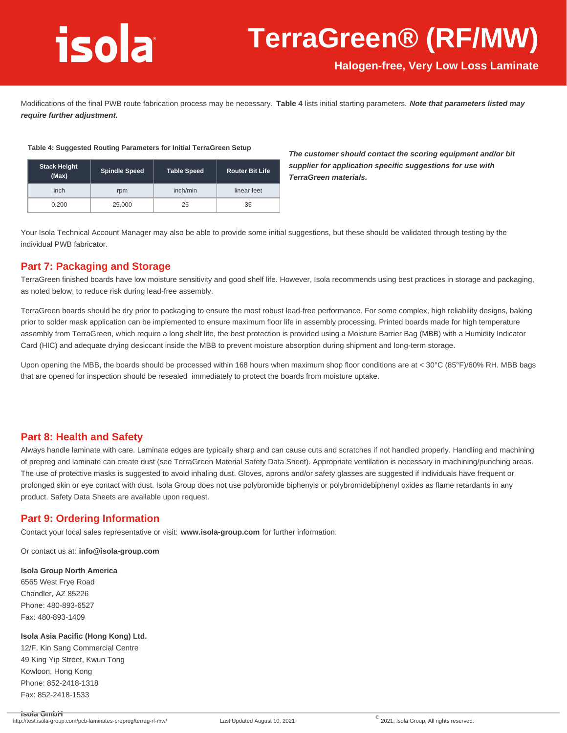### **TerraGreen® (RF/MW)**

**Halogen-free, Very Low Loss Laminate**

Modifications of the final PWB route fabrication process may be necessary. **Table 4** lists initial starting parameters. **Note that parameters listed may require further adjustment.**

#### **Table 4: Suggested Routing Parameters for Initial TerraGreen Setup**

| <b>Stack Height</b><br>(Max) | <b>Spindle Speed</b> | <b>Table Speed</b> | <b>Router Bit Life</b> |  |  |
|------------------------------|----------------------|--------------------|------------------------|--|--|
| inch                         | rpm                  | inch/min           | linear feet            |  |  |
| 0.200                        | 25,000               | 25                 | 35                     |  |  |

**The customer should contact the scoring equipment and/or bit supplier for application specific suggestions for use with TerraGreen materials.**

Your Isola Technical Account Manager may also be able to provide some initial suggestions, but these should be validated through testing by the individual PWB fabricator.

#### **Part 7: Packaging and Storage**

TerraGreen finished boards have low moisture sensitivity and good shelf life. However, Isola recommends using best practices in storage and packaging, as noted below, to reduce risk during lead-free assembly.

TerraGreen boards should be dry prior to packaging to ensure the most robust lead-free performance. For some complex, high reliability designs, baking prior to solder mask application can be implemented to ensure maximum floor life in assembly processing. Printed boards made for high temperature assembly from TerraGreen, which require a long shelf life, the best protection is provided using a Moisture Barrier Bag (MBB) with a Humidity Indicator Card (HIC) and adequate drying desiccant inside the MBB to prevent moisture absorption during shipment and long-term storage.

Upon opening the MBB, the boards should be processed within 168 hours when maximum shop floor conditions are at < 30°C (85°F)/60% RH. MBB bags that are opened for inspection should be resealed immediately to protect the boards from moisture uptake.

#### **Part 8: Health and Safety**

Always handle laminate with care. Laminate edges are typically sharp and can cause cuts and scratches if not handled properly. Handling and machining of prepreg and laminate can create dust (see TerraGreen Material Safety Data Sheet). Appropriate ventilation is necessary in machining/punching areas. The use of protective masks is suggested to avoid inhaling dust. Gloves, aprons and/or safety glasses are suggested if individuals have frequent or prolonged skin or eye contact with dust. Isola Group does not use polybromide biphenyls or polybromidebiphenyl oxides as flame retardants in any product. Safety Data Sheets are available upon request.

#### **Part 9: Ordering Information**

Contact your local sales representative or visit: **www.isola-group.com** for further information.

Or contact us at: **info@isola-group.com**

#### **Isola Group North America**

6565 West Frye Road Chandler, AZ 85226 Phone: 480-893-6527 Fax: 480-893-1409

#### **Isola Asia Pacific (Hong Kong) Ltd.**

12/F, Kin Sang Commercial Centre 49 King Yip Street, Kwun Tong Kowloon, Hong Kong Phone: 852-2418-1318 Fax: 852-2418-1533